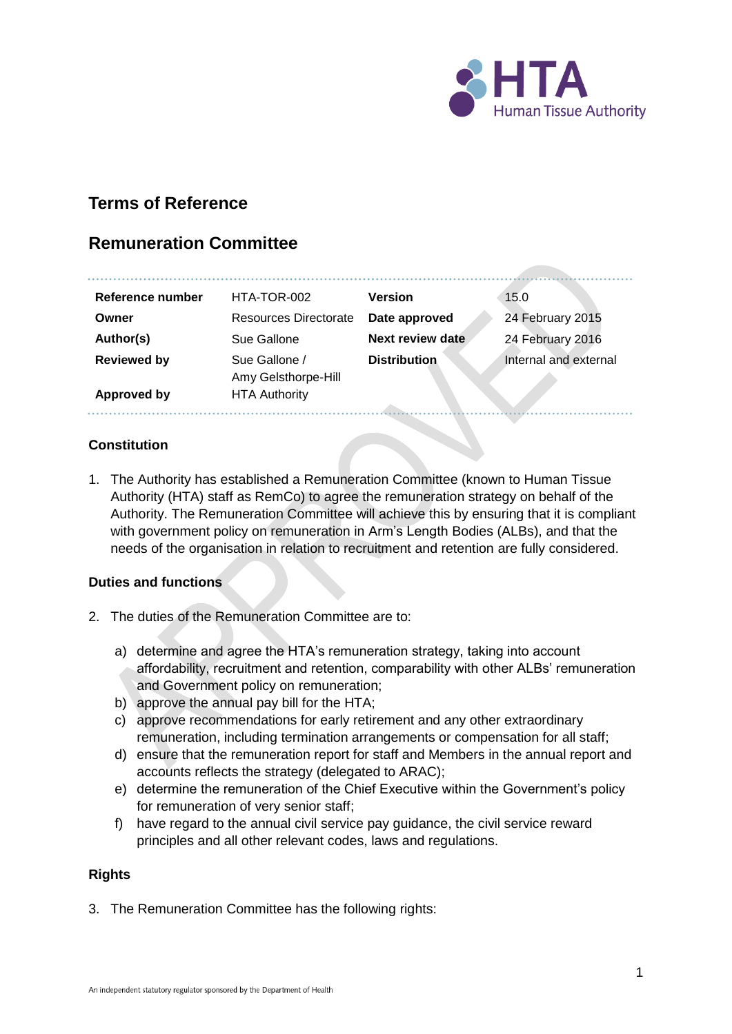

# **Terms of Reference**

# **Remuneration Committee**

| Reference number   | HTA-TOR-002                          | <b>Version</b>      | 15.0                  |
|--------------------|--------------------------------------|---------------------|-----------------------|
| Owner              | Resources Directorate                | Date approved       | 24 February 2015      |
| Author(s)          | Sue Gallone                          | Next review date    | 24 February 2016      |
| <b>Reviewed by</b> | Sue Gallone /<br>Amy Gelsthorpe-Hill | <b>Distribution</b> | Internal and external |
| Approved by        | <b>HTA Authority</b>                 |                     |                       |

## **Constitution**

1. The Authority has established a Remuneration Committee (known to Human Tissue Authority (HTA) staff as RemCo) to agree the remuneration strategy on behalf of the Authority. The Remuneration Committee will achieve this by ensuring that it is compliant with government policy on remuneration in Arm's Length Bodies (ALBs), and that the needs of the organisation in relation to recruitment and retention are fully considered.

#### **Duties and functions**

- 2. The duties of the Remuneration Committee are to:
	- a) determine and agree the HTA's remuneration strategy, taking into account affordability, recruitment and retention, comparability with other ALBs' remuneration and Government policy on remuneration;
	- b) approve the annual pay bill for the HTA;
	- c) approve recommendations for early retirement and any other extraordinary remuneration, including termination arrangements or compensation for all staff;
	- d) ensure that the remuneration report for staff and Members in the annual report and accounts reflects the strategy (delegated to ARAC);
	- e) determine the remuneration of the Chief Executive within the Government's policy for remuneration of very senior staff;
	- f) have regard to the annual civil service pay guidance, the civil service reward principles and all other relevant codes, laws and regulations.

#### **Rights**

3. The Remuneration Committee has the following rights: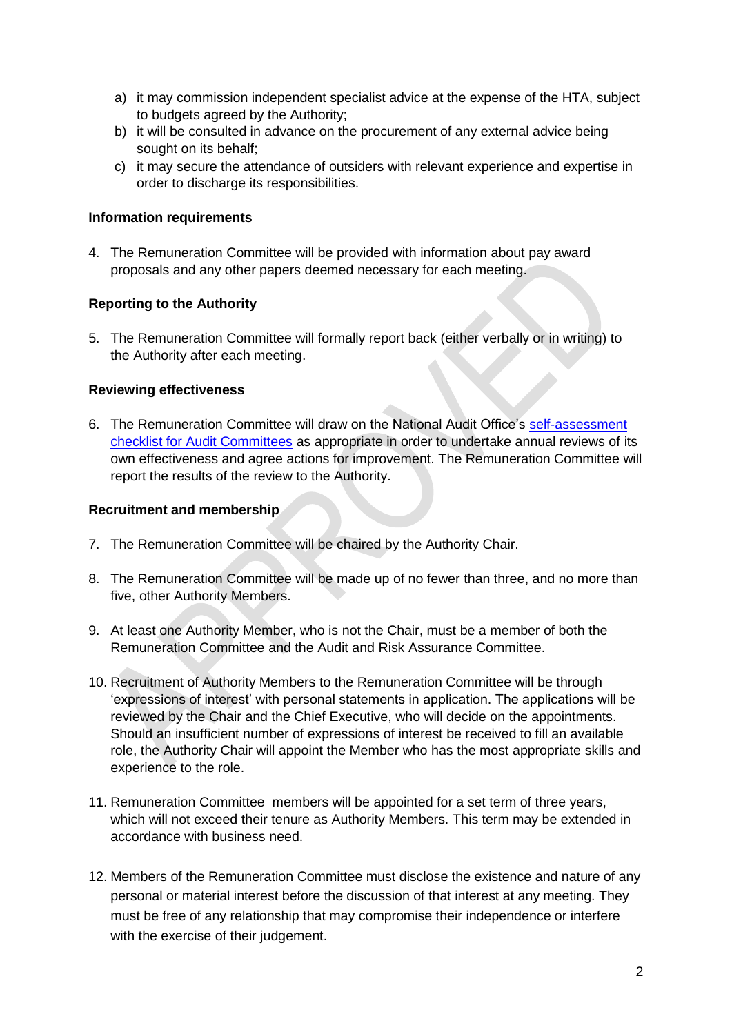- a) it may commission independent specialist advice at the expense of the HTA, subject to budgets agreed by the Authority;
- b) it will be consulted in advance on the procurement of any external advice being sought on its behalf;
- c) it may secure the attendance of outsiders with relevant experience and expertise in order to discharge its responsibilities.

## **Information requirements**

4. The Remuneration Committee will be provided with information about pay award proposals and any other papers deemed necessary for each meeting.

## **Reporting to the Authority**

5. The Remuneration Committee will formally report back (either verbally or in writing) to the Authority after each meeting.

## **Reviewing effectiveness**

6. The Remuneration Committee will draw on the National Audit Office's [self-assessment](http://www.nao.org.uk/wp-content/uploads/2012/10/Self_Assessment_Checklist.pdf)  [checklist for Audit Committees](http://www.nao.org.uk/wp-content/uploads/2012/10/Self_Assessment_Checklist.pdf) as appropriate in order to undertake annual reviews of its own effectiveness and agree actions for improvement. The Remuneration Committee will report the results of the review to the Authority.

#### **Recruitment and membership**

- 7. The Remuneration Committee will be chaired by the Authority Chair.
- 8. The Remuneration Committee will be made up of no fewer than three, and no more than five, other Authority Members.
- 9. At least one Authority Member, who is not the Chair, must be a member of both the Remuneration Committee and the Audit and Risk Assurance Committee.
- 10. Recruitment of Authority Members to the Remuneration Committee will be through 'expressions of interest' with personal statements in application. The applications will be reviewed by the Chair and the Chief Executive, who will decide on the appointments. Should an insufficient number of expressions of interest be received to fill an available role, the Authority Chair will appoint the Member who has the most appropriate skills and experience to the role.
- 11. Remuneration Committee members will be appointed for a set term of three years, which will not exceed their tenure as Authority Members. This term may be extended in accordance with business need.
- 12. Members of the Remuneration Committee must disclose the existence and nature of any personal or material interest before the discussion of that interest at any meeting. They must be free of any relationship that may compromise their independence or interfere with the exercise of their judgement.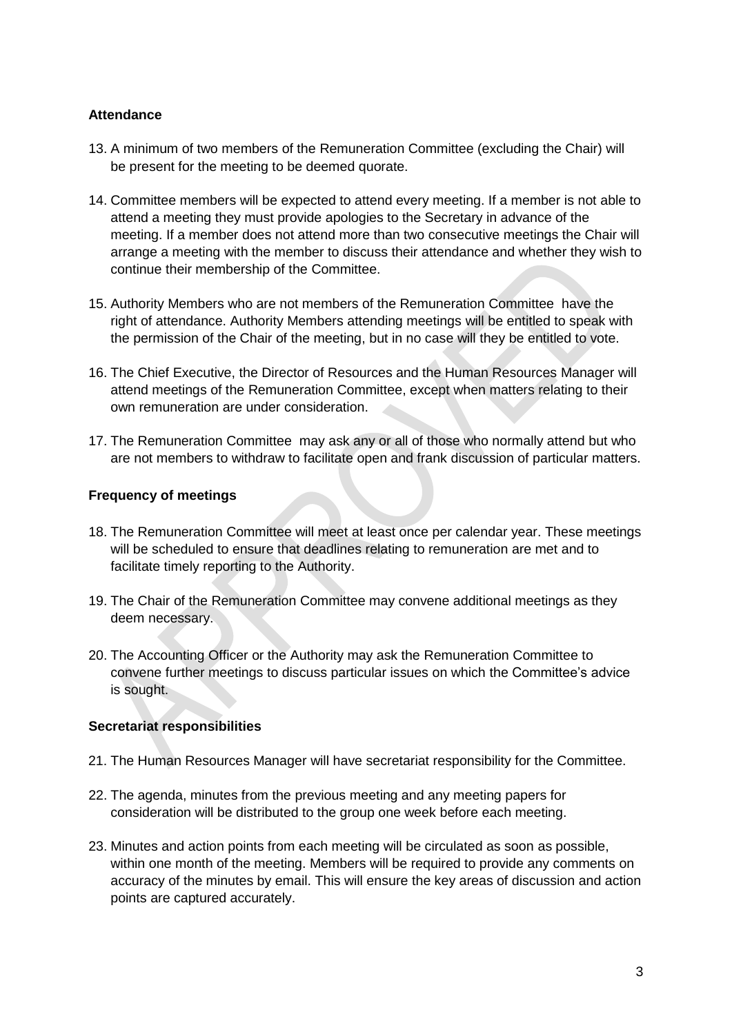## **Attendance**

- 13. A minimum of two members of the Remuneration Committee (excluding the Chair) will be present for the meeting to be deemed quorate.
- 14. Committee members will be expected to attend every meeting. If a member is not able to attend a meeting they must provide apologies to the Secretary in advance of the meeting. If a member does not attend more than two consecutive meetings the Chair will arrange a meeting with the member to discuss their attendance and whether they wish to continue their membership of the Committee.
- 15. Authority Members who are not members of the Remuneration Committee have the right of attendance. Authority Members attending meetings will be entitled to speak with the permission of the Chair of the meeting, but in no case will they be entitled to vote.
- 16. The Chief Executive, the Director of Resources and the Human Resources Manager will attend meetings of the Remuneration Committee, except when matters relating to their own remuneration are under consideration.
- 17. The Remuneration Committee may ask any or all of those who normally attend but who are not members to withdraw to facilitate open and frank discussion of particular matters.

## **Frequency of meetings**

- 18. The Remuneration Committee will meet at least once per calendar year. These meetings will be scheduled to ensure that deadlines relating to remuneration are met and to facilitate timely reporting to the Authority.
- 19. The Chair of the Remuneration Committee may convene additional meetings as they deem necessary.
- 20. The Accounting Officer or the Authority may ask the Remuneration Committee to convene further meetings to discuss particular issues on which the Committee's advice is sought.

## **Secretariat responsibilities**

- 21. The Human Resources Manager will have secretariat responsibility for the Committee.
- 22. The agenda, minutes from the previous meeting and any meeting papers for consideration will be distributed to the group one week before each meeting.
- 23. Minutes and action points from each meeting will be circulated as soon as possible, within one month of the meeting. Members will be required to provide any comments on accuracy of the minutes by email. This will ensure the key areas of discussion and action points are captured accurately.